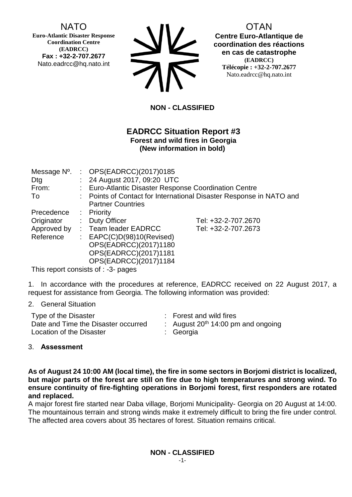# NATO

**Euro-Atlantic Disaster Response Coordination Centre (EADRCC) Fax : +32-2-707.2677** Nato.eadrcc@hq.nato.int

| <b>SIV</b> |
|------------|
| <b>71V</b> |

OTAN **Centre Euro-Atlantique de coordination des réactions en cas de catastrophe (EADRCC) Télécopie : +32-2-707.2677** Nato.eadrcc@hq.nato.int

## **NON - CLASSIFIED**

### **EADRCC Situation Report #3 Forest and wild fires in Georgia (New information in bold)**

|             |  | Message $N^0$ . : OPS(EADRCC)(2017)0185                             |                     |  |
|-------------|--|---------------------------------------------------------------------|---------------------|--|
| Dtg         |  | : 24 August 2017, 09:20 UTC                                         |                     |  |
| From:       |  | : Euro-Atlantic Disaster Response Coordination Centre               |                     |  |
| To          |  | : Points of Contact for International Disaster Response in NATO and |                     |  |
|             |  | <b>Partner Countries</b>                                            |                     |  |
| Precedence  |  | : Priority                                                          |                     |  |
| Originator  |  | : Duty Officer                                                      | Tel: +32-2-707.2670 |  |
| Approved by |  | : Team leader EADRCC                                                | Tel: +32-2-707.2673 |  |
| Reference   |  | : $EAPC(C)D(98)10(Revised)$                                         |                     |  |
|             |  | OPS(EADRCC)(2017)1180                                               |                     |  |
|             |  | OPS(EADRCC)(2017)1181                                               |                     |  |
|             |  | OPS(EADRCC)(2017)1184                                               |                     |  |

This report consists of : -3- pages

1. In accordance with the procedures at reference, EADRCC received on 22 August 2017, a request for assistance from Georgia. The following information was provided:

#### 2. General Situation

| Type of the Disaster                | : Forest and wild fires                 |
|-------------------------------------|-----------------------------------------|
| Date and Time the Disaster occurred | : August $20^{th}$ 14:00 pm and ongoing |
| Location of the Disaster            | : Georgia                               |

#### 3. **Assessment**

**As of August 24 10:00 AM (local time), the fire in some sectors in Borjomi district is localized, but major parts of the forest are still on fire due to high temperatures and strong wind. To ensure continuity of fire-fighting operations in Borjomi forest, first responders are rotated and replaced.**

A major forest fire started near Daba village, Borjomi Municipality- Georgia on 20 August at 14:00. The mountainous terrain and strong winds make it extremely difficult to bring the fire under control. The affected area covers about 35 hectares of forest. Situation remains critical.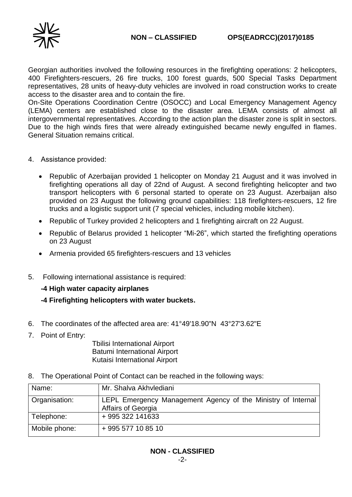

Georgian authorities involved the following resources in the firefighting operations: 2 helicopters, 400 Firefighters-rescuers, 26 fire trucks, 100 forest guards, 500 Special Tasks Department representatives, 28 units of heavy-duty vehicles are involved in road construction works to create access to the disaster area and to contain the fire.

On-Site Operations Coordination Centre (OSOCC) and Local Emergency Management Agency (LEMA) centers are established close to the disaster area. LEMA consists of almost all intergovernmental representatives. According to the action plan the disaster zone is split in sectors. Due to the high winds fires that were already extinguished became newly engulfed in flames. General Situation remains critical.

- 4. Assistance provided:
	- Republic of Azerbaijan provided 1 helicopter on Monday 21 August and it was involved in firefighting operations all day of 22nd of August. A second firefighting helicopter and two transport helicopters with 6 personal started to operate on 23 August. Azerbaijan also provided on 23 August the following ground capabilities: 118 firefighters-rescuers, 12 fire trucks and a logistic support unit (7 special vehicles, including mobile kitchen).
	- Republic of Turkey provided 2 helicopters and 1 firefighting aircraft on 22 August.
	- Republic of Belarus provided 1 helicopter "Mi-26", which started the firefighting operations on 23 August
	- Armenia provided 65 firefighters-rescuers and 13 vehicles
- 5. Following international assistance is required:

#### **-4 High water capacity airplanes**

- **-4 Firefighting helicopters with water buckets.**
- 6. The coordinates of the affected area are: 41°49'18.90"N 43°27'3.62"E
- 7. Point of Entry:

 Tbilisi International Airport Batumi International Airport Kutaisi International Airport

8. The Operational Point of Contact can be reached in the following ways:

| Name:         | Mr. Shalva Akhvlediani                                                             |
|---------------|------------------------------------------------------------------------------------|
| Organisation: | LEPL Emergency Management Agency of the Ministry of Internal<br>Affairs of Georgia |
| Telephone:    | +995 322 141633                                                                    |
| Mobile phone: | +995 577 10 85 10                                                                  |